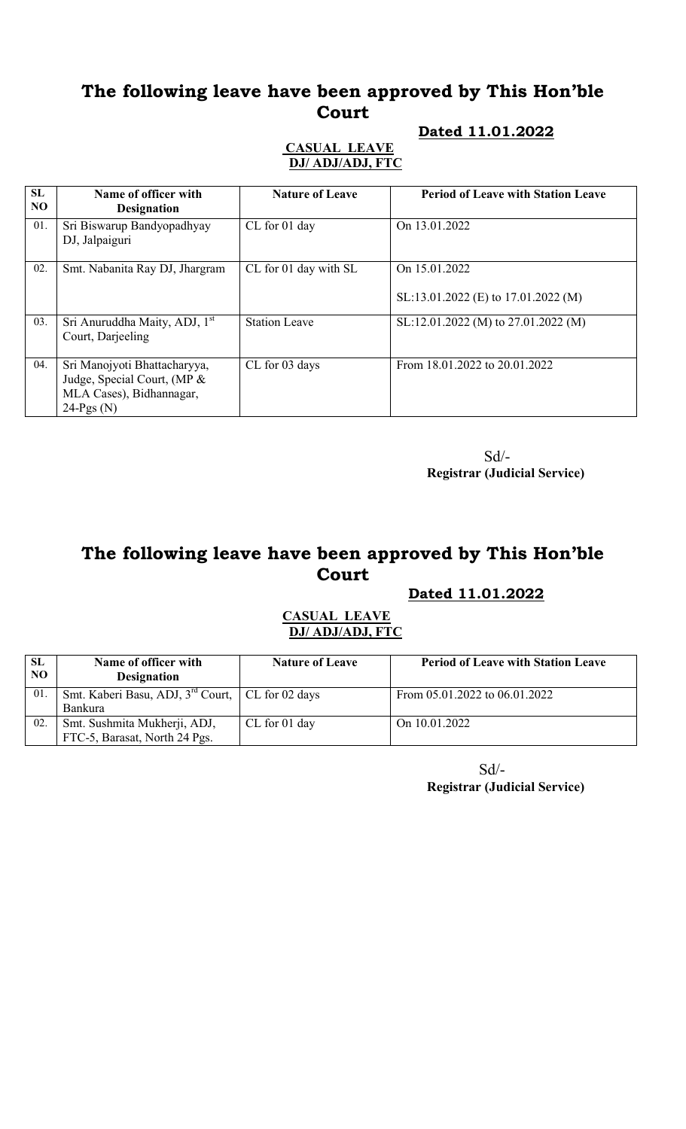# The following leave have been approved by This Hon'ble Court

## Dated 11.01.2022

### CASUAL LEAVE DJ/ ADJ/ADJ, FTC

| SL<br>NO. | Name of officer with<br><b>Designation</b>                                                             | <b>Nature of Leave</b> | <b>Period of Leave with Station Leave</b>            |
|-----------|--------------------------------------------------------------------------------------------------------|------------------------|------------------------------------------------------|
| 01.       | Sri Biswarup Bandyopadhyay<br>DJ, Jalpaiguri                                                           | CL for 01 day          | On 13.01.2022                                        |
| 02.       | Smt. Nabanita Ray DJ, Jhargram                                                                         | CL for 01 day with SL  | On 15.01.2022<br>SL:13.01.2022 (E) to 17.01.2022 (M) |
| 03.       | Sri Anuruddha Maity, ADJ, 1 <sup>st</sup><br>Court, Darjeeling                                         | <b>Station Leave</b>   | SL:12.01.2022 (M) to 27.01.2022 (M)                  |
| 04.       | Sri Manojyoti Bhattacharyya,<br>Judge, Special Court, (MP &<br>MLA Cases), Bidhannagar,<br>$24-Pgs(N)$ | CL for 03 days         | From 18.01.2022 to 20.01.2022                        |

Sd/- Registrar (Judicial Service)

# The following leave have been approved by This Hon'ble Court

### Dated 11.01.2022

### CASUAL LEAVE DJ/ ADJ/ADJ, FTC

| <b>SL</b><br>NO. | Name of officer with<br><b>Designation</b>                     | <b>Nature of Leave</b> | <b>Period of Leave with Station Leave</b> |
|------------------|----------------------------------------------------------------|------------------------|-------------------------------------------|
| 01               | Smt. Kaberi Basu, ADJ, 3 <sup>rd</sup> Court,   CL for 02 days |                        | From $05.01.2022$ to $06.01.2022$         |
|                  | <b>Bankura</b>                                                 |                        |                                           |
| 02               | Smt. Sushmita Mukherji, ADJ,                                   | CL for 01 day          | On 10.01.2022                             |
|                  | FTC-5, Barasat, North 24 Pgs.                                  |                        |                                           |

 Sd/- Registrar (Judicial Service)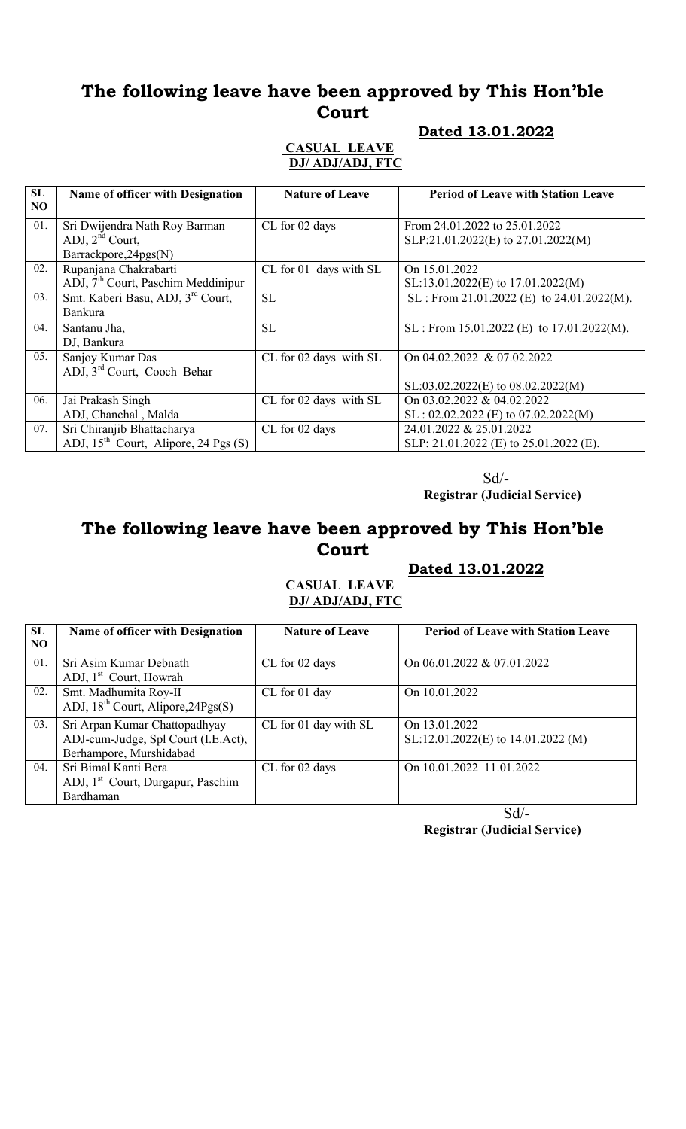# The following leave have been approved by This Hon'ble Court

## Dated 13.01.2022

### CASUAL LEAVE DJ/ ADJ/ADJ, FTC

| <b>SL</b><br>N <sub>O</sub> | Name of officer with Designation                                                      | <b>Nature of Leave</b> | <b>Period of Leave with Station Leave</b>                            |
|-----------------------------|---------------------------------------------------------------------------------------|------------------------|----------------------------------------------------------------------|
| 01.                         | Sri Dwijendra Nath Roy Barman<br>ADJ, 2 <sup>nd</sup> Court,<br>Barrackpore, 24pgs(N) | CL for 02 days         | From 24.01.2022 to 25.01.2022<br>SLP:21.01.2022(E) to 27.01.2022(M)  |
| 02.                         | Rupanjana Chakrabarti<br>$ADJ$ , $7th$ Court, Paschim Meddinipur                      | CL for 01 days with SL | On 15.01.2022<br>SL:13.01.2022(E) to 17.01.2022(M)                   |
| 03.                         | Smt. Kaberi Basu, ADJ, 3rd Court,<br><b>Bankura</b>                                   | <b>SL</b>              | SL : From 21.01.2022 (E) to $24.01.2022(M)$ .                        |
| 04.                         | Santanu Jha,<br>DJ, Bankura                                                           | SL                     | SL : From 15.01.2022 (E) to $17.01.2022(M)$ .                        |
| 05.                         | Sanjoy Kumar Das<br>ADJ, 3 <sup>rd</sup> Court, Cooch Behar                           | CL for 02 days with SL | On 04.02.2022 & 07.02.2022<br>$SL: 03.02.2022(E)$ to $08.02.2022(M)$ |
| 06.                         | Jai Prakash Singh<br>ADJ, Chanchal, Malda                                             | CL for 02 days with SL | On 03.02.2022 & 04.02.2022<br>$SL: 02.02.2022$ (E) to 07.02.2022(M)  |
| 07.                         | Sri Chiranjib Bhattacharya<br>ADJ, $15^{th}$ Court, Alipore, 24 Pgs (S)               | CL for 02 days         | 24.01.2022 & 25.01.2022<br>SLP: 21.01.2022 (E) to 25.01.2022 (E).    |

 Sd/- Registrar (Judicial Service)

# The following leave have been approved by This Hon'ble Court

## Dated 13.01.2022

## CASUAL LEAVE DJ/ ADJ/ADJ, FTC

| <b>SL</b><br>N <sub>O</sub> | <b>Name of officer with Designation</b>       | <b>Nature of Leave</b> | <b>Period of Leave with Station Leave</b> |
|-----------------------------|-----------------------------------------------|------------------------|-------------------------------------------|
| 01.                         | Sri Asim Kumar Debnath                        | CL for 02 days         | On 06.01.2022 & 07.01.2022                |
|                             | ADJ, 1 <sup>st</sup> Court, Howrah            |                        |                                           |
| 02.                         | Smt. Madhumita Roy-II                         | CL for 01 day          | On 10.01.2022                             |
|                             | ADJ, $18^{th}$ Court, Alipore, $24Pgs(S)$     |                        |                                           |
| 03.                         | Sri Arpan Kumar Chattopadhyay                 | CL for 01 day with SL  | On 13.01.2022                             |
|                             | ADJ-cum-Judge, Spl Court (I.E.Act),           |                        | $SL:12.01.2022(E)$ to 14.01.2022 (M)      |
|                             | Berhampore, Murshidabad                       |                        |                                           |
| 04.                         | Sri Bimal Kanti Bera                          | CL for 02 days         | On 10.01.2022 11.01.2022                  |
|                             | ADJ, 1 <sup>st</sup> Court, Durgapur, Paschim |                        |                                           |
|                             | Bardhaman                                     |                        |                                           |

 Sd/- Registrar (Judicial Service)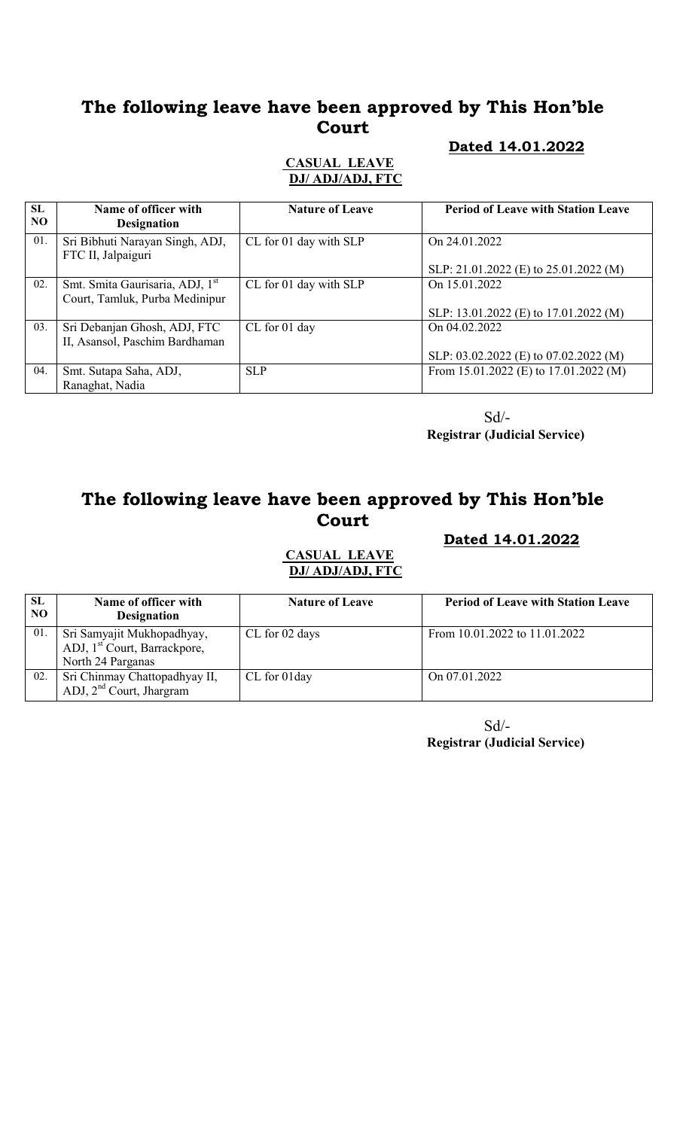# The following leave have been approved by This Hon'ble Court

### Dated 14.01.2022

### CASUAL LEAVE DJ/ ADJ/ADJ, FTC

| SL<br>N <sub>O</sub> | Name of officer with<br><b>Designation</b>            | <b>Nature of Leave</b> | <b>Period of Leave with Station Leave</b> |
|----------------------|-------------------------------------------------------|------------------------|-------------------------------------------|
| 01.                  | Sri Bibhuti Narayan Singh, ADJ,<br>FTC II, Jalpaiguri | CL for 01 day with SLP | On 24.01.2022                             |
|                      |                                                       |                        | SLP: 21.01.2022 (E) to 25.01.2022 (M)     |
| 02.                  | Smt. Smita Gaurisaria, ADJ, 1 <sup>st</sup>           | CL for 01 day with SLP | On 15.01.2022                             |
|                      | Court, Tamluk, Purba Medinipur                        |                        |                                           |
|                      |                                                       |                        | SLP: 13.01.2022 (E) to 17.01.2022 (M)     |
| 03.                  | Sri Debanjan Ghosh, ADJ, FTC                          | CL for 01 day          | On 04.02.2022                             |
|                      | II, Asansol, Paschim Bardhaman                        |                        |                                           |
|                      |                                                       |                        | SLP: 03.02.2022 (E) to 07.02.2022 (M)     |
| 04.                  | Smt. Sutapa Saha, ADJ,                                | <b>SLP</b>             | From 15.01.2022 (E) to 17.01.2022 (M)     |
|                      | Ranaghat, Nadia                                       |                        |                                           |

Sd/-

Registrar (Judicial Service)

# The following leave have been approved by This Hon'ble Court

Dated 14.01.2022

CASUAL LEAVE DJ/ ADJ/ADJ, FTC

| SL<br>NO. | Name of officer with<br><b>Designation</b>                                                  | <b>Nature of Leave</b> | <b>Period of Leave with Station Leave</b> |
|-----------|---------------------------------------------------------------------------------------------|------------------------|-------------------------------------------|
| 01.       | Sri Samyajit Mukhopadhyay,<br>ADJ, 1 <sup>st</sup> Court, Barrackpore,<br>North 24 Parganas | CL for 02 days         | From 10.01.2022 to 11.01.2022             |
| 02.       | Sri Chinmay Chattopadhyay II,<br>ADJ, $2nd$ Court, Jhargram                                 | CL for 01day           | On 07.01.2022                             |

Sd/- Registrar (Judicial Service)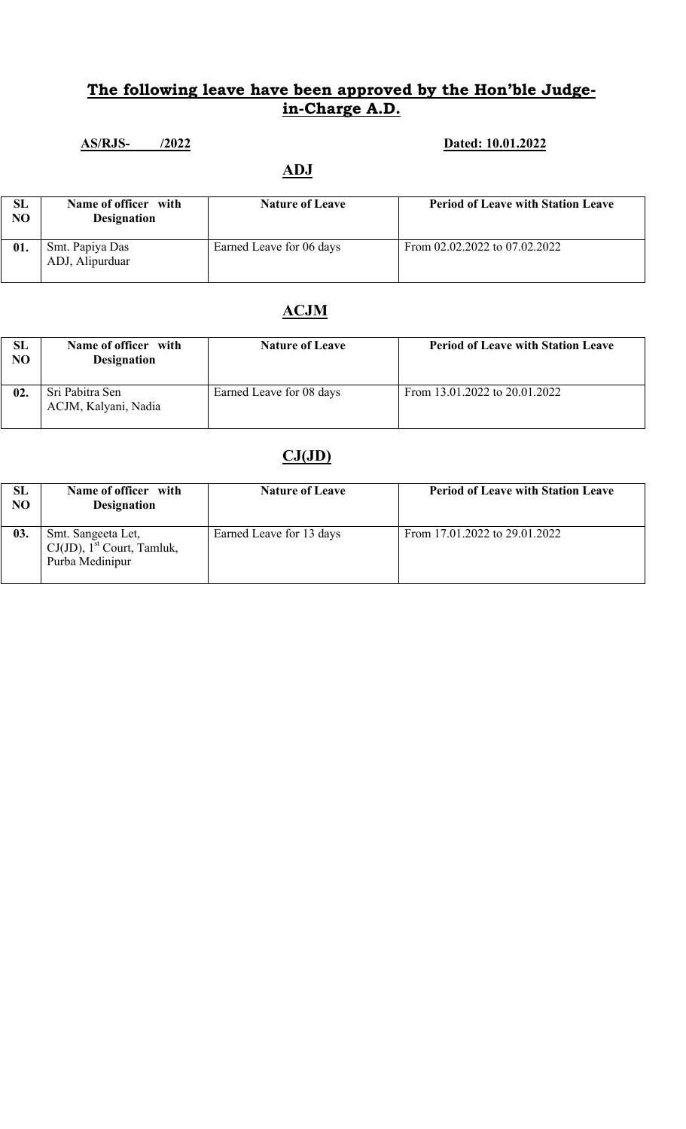### AS/RJS- /2022 **Dated:** 10.01.2022

## ADJ

| SL<br>NO | Name of officer with<br><b>Designation</b> | <b>Nature of Leave</b>   | <b>Period of Leave with Station Leave</b> |
|----------|--------------------------------------------|--------------------------|-------------------------------------------|
| 01.      | Smt. Papiya Das<br>ADJ, Alipurduar         | Earned Leave for 06 days | From 02.02.2022 to 07.02.2022             |

# ACJM

| SL<br>NO. | Name of officer with<br><b>Designation</b> | <b>Nature of Leave</b>   | <b>Period of Leave with Station Leave</b> |
|-----------|--------------------------------------------|--------------------------|-------------------------------------------|
| 02.       | Sri Pabitra Sen<br>ACJM, Kalyani, Nadia    | Earned Leave for 08 days | From 13.01.2022 to 20.01.2022             |

| SL<br>N <sub>O</sub> | Name of officer with<br><b>Designation</b>                                         | <b>Nature of Leave</b>   | <b>Period of Leave with Station Leave</b> |
|----------------------|------------------------------------------------------------------------------------|--------------------------|-------------------------------------------|
| 03.                  | Smt. Sangeeta Let,<br>$CJ(JD)$ , 1 <sup>st</sup> Court, Tamluk,<br>Purba Medinipur | Earned Leave for 13 days | From 17.01.2022 to 29.01.2022             |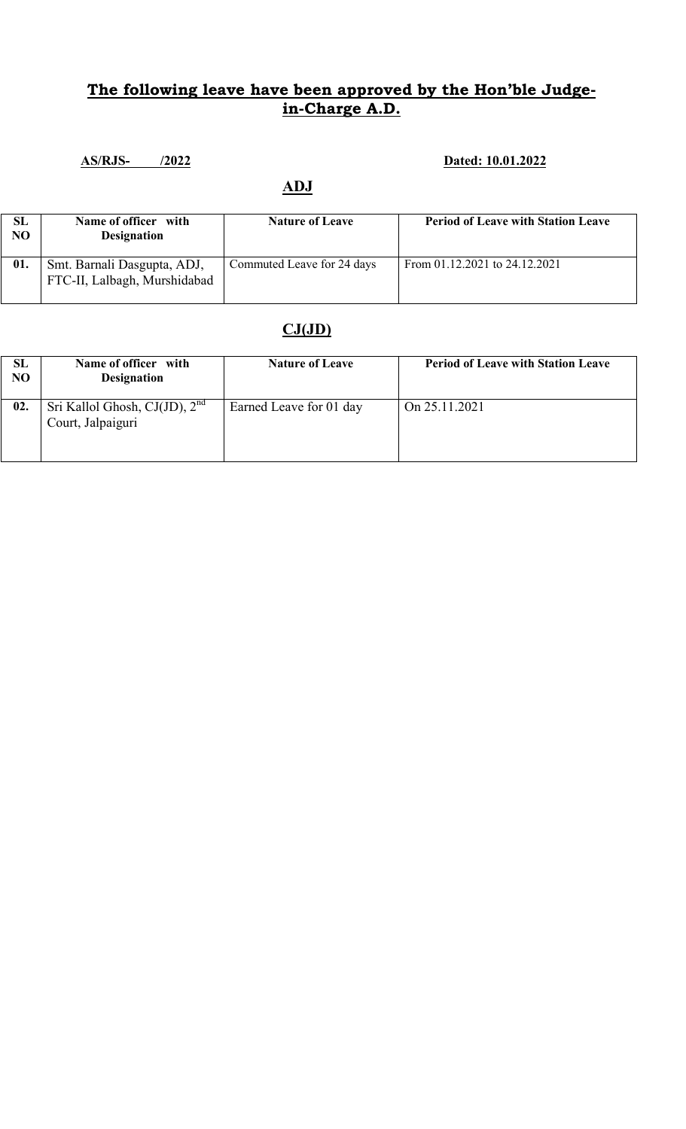# AS/RJS- /2022 Dated: 10.01.2022

## ADJ

| SL<br>NO | Name of officer with<br><b>Designation</b>                  | <b>Nature of Leave</b>     | <b>Period of Leave with Station Leave</b> |
|----------|-------------------------------------------------------------|----------------------------|-------------------------------------------|
| 01.      | Smt. Barnali Dasgupta, ADJ,<br>FTC-II, Lalbagh, Murshidabad | Commuted Leave for 24 days | From 01.12.2021 to 24.12.2021             |

| <b>SL</b><br>NO | Name of officer with<br><b>Designation</b>              | <b>Nature of Leave</b>  | <b>Period of Leave with Station Leave</b> |
|-----------------|---------------------------------------------------------|-------------------------|-------------------------------------------|
| 02.             | Sri Kallol Ghosh, $CJ(JD)$ , $2nd$<br>Court, Jalpaiguri | Earned Leave for 01 day | On 25.11.2021                             |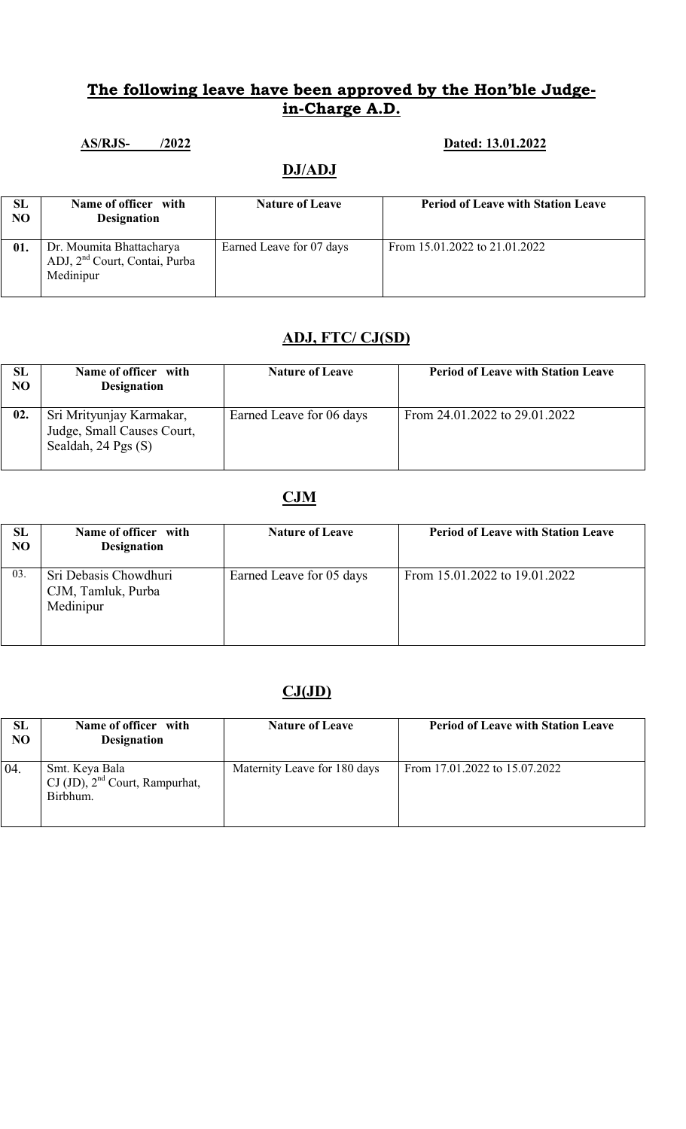### AS/RJS- /2022 **Dated: 13.01.2022**

### DJ/ADJ

| SL<br>NO | Name of officer with<br><b>Designation</b>                                         | <b>Nature of Leave</b>   | <b>Period of Leave with Station Leave</b> |
|----------|------------------------------------------------------------------------------------|--------------------------|-------------------------------------------|
| 01.      | Dr. Moumita Bhattacharya<br>ADJ, 2 <sup>nd</sup> Court, Contai, Purba<br>Medinipur | Earned Leave for 07 days | From 15.01.2022 to 21.01.2022             |

# ADJ, FTC/ CJ(SD)

| SL<br>NO | Name of officer with<br><b>Designation</b>                                        | <b>Nature of Leave</b>   | <b>Period of Leave with Station Leave</b> |
|----------|-----------------------------------------------------------------------------------|--------------------------|-------------------------------------------|
| 02.      | Sri Mrityunjay Karmakar,<br>Judge, Small Causes Court,<br>Sealdah, $24$ Pgs $(S)$ | Earned Leave for 06 days | From 24.01.2022 to 29.01.2022             |

## CJM

| <b>SL</b><br>NO | Name of officer with<br><b>Designation</b>               | <b>Nature of Leave</b>   | <b>Period of Leave with Station Leave</b> |
|-----------------|----------------------------------------------------------|--------------------------|-------------------------------------------|
| 03.             | Sri Debasis Chowdhuri<br>CJM, Tamluk, Purba<br>Medinipur | Earned Leave for 05 days | From 15.01.2022 to 19.01.2022             |

| <b>SL</b><br>NO | Name of officer with<br><b>Designation</b>                                         | <b>Nature of Leave</b>       | <b>Period of Leave with Station Leave</b> |
|-----------------|------------------------------------------------------------------------------------|------------------------------|-------------------------------------------|
| 04.             | Smt. Keya Bala<br>$\text{CJ (JD)}$ , $2^{\text{nd}}$ Court, Rampurhat,<br>Birbhum. | Maternity Leave for 180 days | From 17.01.2022 to 15.07.2022             |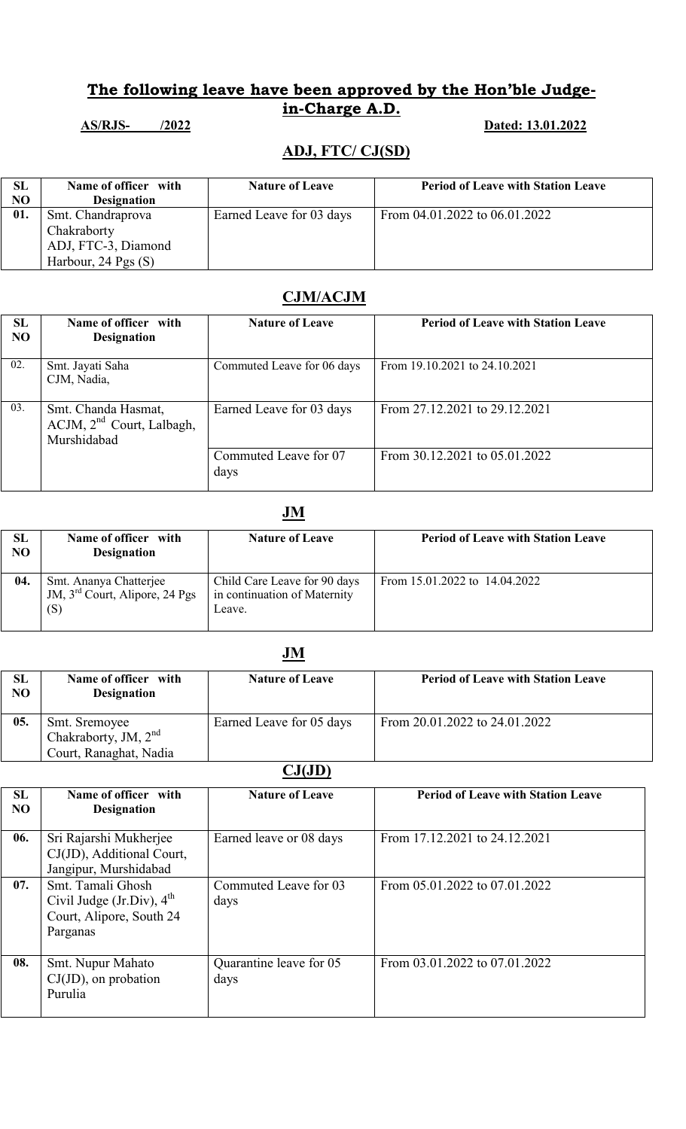### AS/RJS- /2022 2022 Dated: 13.01.2022

## ADJ, FTC/ CJ(SD)

| SL             | Name of officer with    | <b>Nature of Leave</b>   | <b>Period of Leave with Station Leave</b> |
|----------------|-------------------------|--------------------------|-------------------------------------------|
| N <sub>O</sub> | <b>Designation</b>      |                          |                                           |
| 01.            | Smt. Chandraprova       | Earned Leave for 03 days | From 04.01.2022 to 06.01.2022             |
|                | Chakraborty             |                          |                                           |
|                | ADJ, FTC-3, Diamond     |                          |                                           |
|                | Harbour, $24$ Pgs $(S)$ |                          |                                           |

### CJM/ACJM

| <b>SL</b><br>NO | Name of officer with<br><b>Designation</b>                           | <b>Nature of Leave</b>        | <b>Period of Leave with Station Leave</b> |
|-----------------|----------------------------------------------------------------------|-------------------------------|-------------------------------------------|
| 02.             | Smt. Jayati Saha<br>CJM, Nadia,                                      | Commuted Leave for 06 days    | From 19.10.2021 to 24.10.2021             |
| 03.             | Smt. Chanda Hasmat,<br>$ACJM$ , $2nd$ Court, Lalbagh,<br>Murshidabad | Earned Leave for 03 days      | From 27.12.2021 to 29.12.2021             |
|                 |                                                                      | Commuted Leave for 07<br>days | From 30.12.2021 to 05.01.2022             |

## **JM**

| <b>SL</b><br>N <sub>O</sub> | Name of officer with<br><b>Designation</b>                                  | <b>Nature of Leave</b>                                                 | <b>Period of Leave with Station Leave</b> |
|-----------------------------|-----------------------------------------------------------------------------|------------------------------------------------------------------------|-------------------------------------------|
| 04.                         | Smt. Ananya Chatterjee<br>JM, 3 <sup>rd</sup> Court, Alipore, 24 Pgs<br>(S) | Child Care Leave for 90 days<br>in continuation of Maternity<br>Leave. | From $15.01.2022$ to $14.04.2022$         |

## JM

| <b>SL</b><br>N <sub>O</sub> | Name of officer with<br><b>Designation</b>                        | <b>Nature of Leave</b>   | <b>Period of Leave with Station Leave</b> |
|-----------------------------|-------------------------------------------------------------------|--------------------------|-------------------------------------------|
| 05.                         | Smt. Sremoyee<br>Chakraborty, JM, $2nd$<br>Court, Ranaghat, Nadia | Earned Leave for 05 days | From 20.01.2022 to 24.01.2022             |

| SL<br>N <sub>O</sub> | Name of officer with<br><b>Designation</b>                                                         | <b>Nature of Leave</b>          | <b>Period of Leave with Station Leave</b> |
|----------------------|----------------------------------------------------------------------------------------------------|---------------------------------|-------------------------------------------|
| 06.                  | Sri Rajarshi Mukherjee<br>CJ(JD), Additional Court,<br>Jangipur, Murshidabad                       | Earned leave or 08 days         | From 17.12.2021 to 24.12.2021             |
| 07.                  | Smt. Tamali Ghosh<br>Civil Judge (Jr.Div), $4^{\text{th}}$<br>Court, Alipore, South 24<br>Parganas | Commuted Leave for 03<br>days   | From 05.01.2022 to 07.01.2022             |
| 08.                  | Smt. Nupur Mahato<br>$CJ(JD)$ , on probation<br>Purulia                                            | Quarantine leave for 05<br>days | From 03.01.2022 to 07.01.2022             |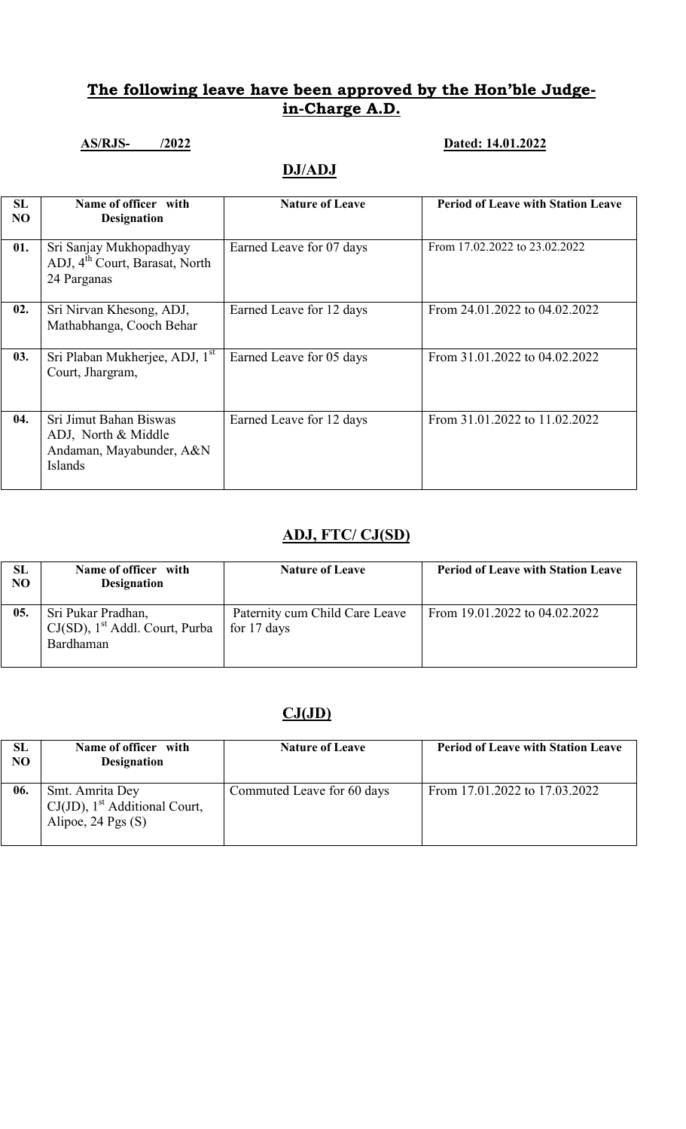# AS/RJS- /2022 Dated: 14.01.2022

## DJ/ADJ

| <b>SL</b><br>N <sub>O</sub> | Name of officer with<br><b>Designation</b>                                           | <b>Nature of Leave</b>   | <b>Period of Leave with Station Leave</b> |
|-----------------------------|--------------------------------------------------------------------------------------|--------------------------|-------------------------------------------|
| 01.                         | Sri Sanjay Mukhopadhyay<br>ADJ, 4 <sup>th</sup> Court, Barasat, North<br>24 Parganas | Earned Leave for 07 days | From 17.02.2022 to 23.02.2022             |
| 02.                         | Sri Nirvan Khesong, ADJ,<br>Mathabhanga, Cooch Behar                                 | Earned Leave for 12 days | From 24.01.2022 to 04.02.2022             |
| 03.                         | Sri Plaban Mukherjee, ADJ, 1 <sup>st</sup><br>Court, Jhargram,                       | Earned Leave for 05 days | From 31.01.2022 to 04.02.2022             |
| 04.                         | Sri Jimut Bahan Biswas<br>ADJ, North & Middle<br>Andaman, Mayabunder, A&N<br>Islands | Earned Leave for 12 days | From 31.01.2022 to 11.02.2022             |

### ADJ, FTC/ CJ(SD)

| SL<br>NO | Name of officer with<br><b>Designation</b>                                       | <b>Nature of Leave</b>                        | <b>Period of Leave with Station Leave</b> |
|----------|----------------------------------------------------------------------------------|-----------------------------------------------|-------------------------------------------|
| 05.      | Sri Pukar Pradhan,<br>$CJ(SD)$ , 1 <sup>st</sup> Addl. Court, Purba<br>Bardhaman | Paternity cum Child Care Leave<br>for 17 days | From 19.01.2022 to 04.02.2022             |

| SL<br>N <sub>O</sub> | Name of officer with<br><b>Designation</b>                                                | <b>Nature of Leave</b>     | <b>Period of Leave with Station Leave</b> |
|----------------------|-------------------------------------------------------------------------------------------|----------------------------|-------------------------------------------|
| 06.                  | Smt. Amrita Dey<br>$CJ(JD)$ , 1 <sup>st</sup> Additional Court,<br>Alipoe, $24$ Pgs $(S)$ | Commuted Leave for 60 days | From 17.01.2022 to 17.03.2022             |